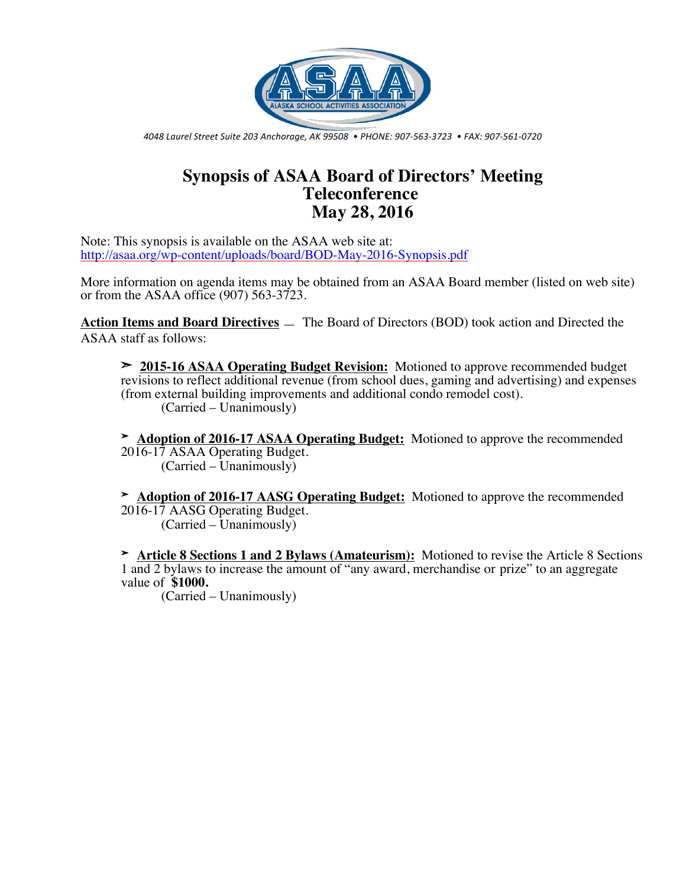

*4048 Laurel Street Suite 203 Anchorage, AK 99508 • PHONE: 907-563-3723 • FAX: 907-561-0720*

## **Synopsis of ASAA Board of Directors' Meeting Teleconference May 28, 2016**

Note: This synopsis is available on the ASAA web site at: http://asaa.org/wp-content/uploads/board/BOD-May-2016-Synopsis.pdf

More information on agenda items may be obtained from an ASAA Board member (listed on web site) or from the ASAA office (907) 563-3723.

**Action Items and Board Directives** — The Board of Directors (BOD) took action and Directed the ASAA staff as follows:

➣ **2015-16 ASAA Operating Budget Revision:** Motioned to approve recommended budget revisions to reflect additional revenue (from school dues, gaming and advertising) and expenses (from external building improvements and additional condo remodel cost). (Carried – Unanimously)

➣ **Adoption of 2016-17 ASAA Operating Budget:** Motioned to approve the recommended 2016-17 ASAA Operating Budget. (Carried – Unanimously)

➣ **Adoption of 2016-17 AASG Operating Budget:** Motioned to approve the recommended 2016-17 AASG Operating Budget.  $(Carried - Unanimously)$ 

➣ **Article 8 Sections 1 and 2 Bylaws (Amateurism):** Motioned to revise the Article 8 Sections 1 and 2 bylaws to increase the amount of "any award, merchandise or prize" to an aggregate value of **\$1000.**

(Carried – Unanimously)